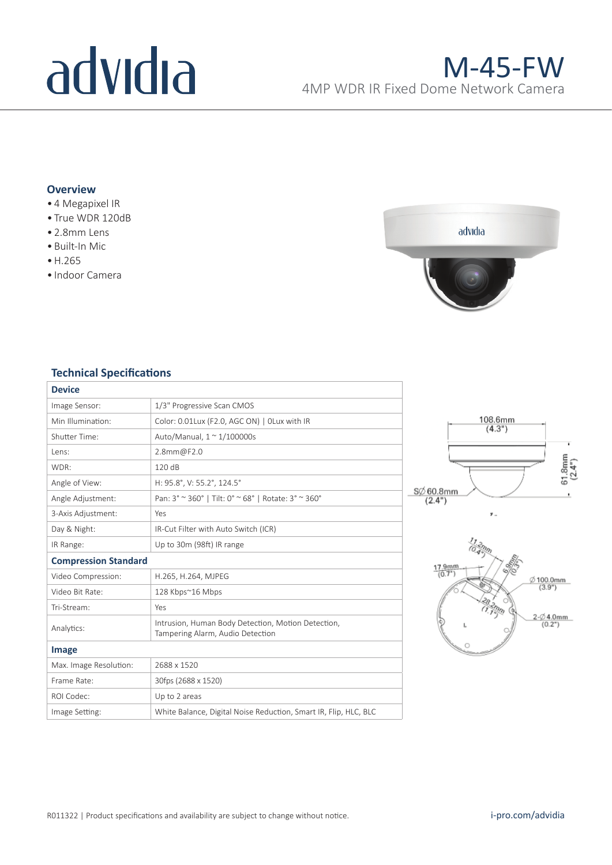# advidia

## **Overview**

- 4 Megapixel IR
- True WDR 120dB
- 2.8mm Lens
- Built-In Mic
- •H.265
- Indoor Camera



# **Technical Specifications**

| <b>Device</b>               |                                                                                        |
|-----------------------------|----------------------------------------------------------------------------------------|
| Image Sensor:               | 1/3" Progressive Scan CMOS                                                             |
| Min Illumination:           | Color: 0.01Lux (F2.0, AGC ON)   OLux with IR                                           |
| Shutter Time:               | Auto/Manual, $1 \approx 1/100000$ s                                                    |
| Lens:                       | 2.8mm@F2.0                                                                             |
| WDR:                        | 120dB                                                                                  |
| Angle of View:              | H: 95.8°, V: 55.2°, 124.5°                                                             |
| Angle Adjustment:           | Pan: 3° ~ 360°   Tilt: 0° ~ 68°   Rotate: 3° ~ 360°                                    |
| 3-Axis Adjustment:          | Yes                                                                                    |
| Day & Night:                | IR-Cut Filter with Auto Switch (ICR)                                                   |
| IR Range:                   | Up to 30m (98ft) IR range                                                              |
| <b>Compression Standard</b> |                                                                                        |
| Video Compression:          | H.265, H.264, MJPEG                                                                    |
| Video Bit Rate:             | 128 Kbps~16 Mbps                                                                       |
| Tri-Stream:                 | Yes                                                                                    |
| Analytics:                  | Intrusion, Human Body Detection, Motion Detection,<br>Tampering Alarm, Audio Detection |
|                             |                                                                                        |
| Image                       |                                                                                        |
| Max. Image Resolution:      | 2688 x 1520                                                                            |
| Frame Rate:                 | 30fps (2688 x 1520)                                                                    |
| ROI Codec:                  | Up to 2 areas                                                                          |
| Image Setting:              | White Balance, Digital Noise Reduction, Smart IR, Flip, HLC, BLC                       |